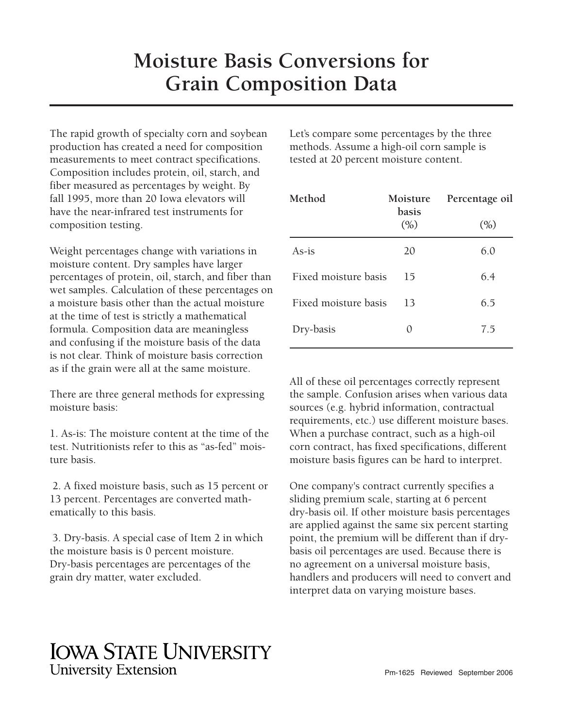## **Moisture Basis Conversions for Grain Composition Data**

The rapid growth of specialty corn and soybean production has created a need for composition measurements to meet contract specifications. Composition includes protein, oil, starch, and fiber measured as percentages by weight. By fall 1995, more than 20 Iowa elevators will have the near-infrared test instruments for composition testing.

Weight percentages change with variations in moisture content. Dry samples have larger percentages of protein, oil, starch, and fiber than wet samples. Calculation of these percentages on a moisture basis other than the actual moisture at the time of test is strictly a mathematical formula. Composition data are meaningless and confusing if the moisture basis of the data is not clear. Think of moisture basis correction as if the grain were all at the same moisture.

There are three general methods for expressing moisture basis:

1. As-is: The moisture content at the time of the test. Nutritionists refer to this as "as-fed" moisture basis.

 2. A fixed moisture basis, such as 15 percent or 13 percent. Percentages are converted mathematically to this basis.

 3. Dry-basis. A special case of Item 2 in which the moisture basis is 0 percent moisture. Dry-basis percentages are percentages of the grain dry matter, water excluded.

Let's compare some percentages by the three methods. Assume a high-oil corn sample is tested at 20 percent moisture content.

| Method               | Moisture<br>basis<br>(% ) | Percentage oil<br>(% ) |
|----------------------|---------------------------|------------------------|
|                      |                           |                        |
| Fixed moisture basis | 15                        | 6.4                    |
| Fixed moisture basis | 13                        | 6.5                    |
| Dry-basis            |                           | 7.5                    |

All of these oil percentages correctly represent the sample. Confusion arises when various data sources (e.g. hybrid information, contractual requirements, etc.) use different moisture bases. When a purchase contract, such as a high-oil corn contract, has fixed specifications, different moisture basis figures can be hard to interpret.

One company's contract currently specifies a sliding premium scale, starting at 6 percent dry-basis oil. If other moisture basis percentages are applied against the same six percent starting point, the premium will be different than if drybasis oil percentages are used. Because there is no agreement on a universal moisture basis, handlers and producers will need to convert and interpret data on varying moisture bases.

## **IOWA STATE UNIVERSITY University Extension**